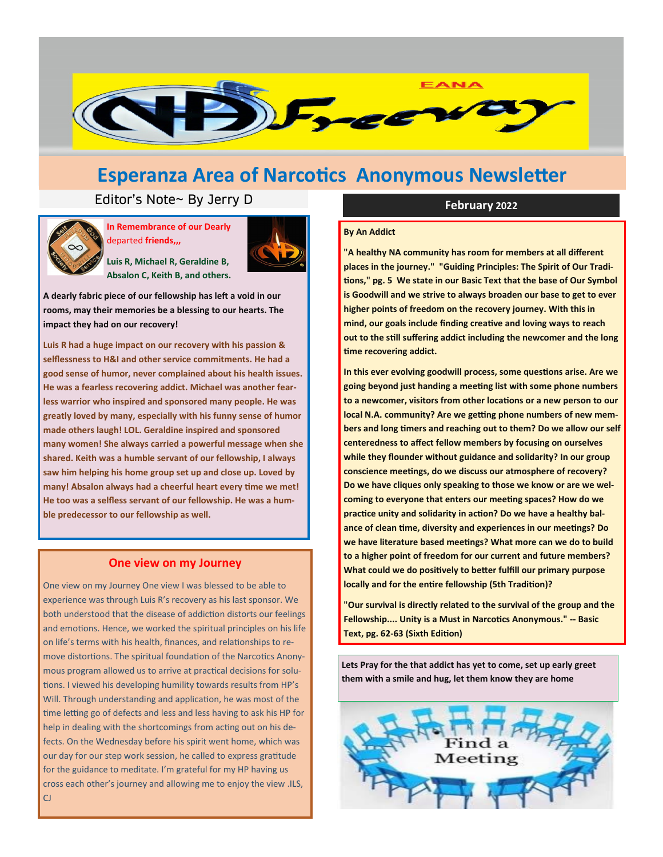

## **Esperanza Area of Narcotics Anonymous Newsletter**

## Editor's Note~ By Jerry D **February** 2022



**In Remembrance of our Dearly**  departed **friends,,,**



**Luis R, Michael R, Geraldine B, Absalon C, Keith B, and others.**

**A dearly fabric piece of our fellowship has left a void in our rooms, may their memories be a blessing to our hearts. The impact they had on our recovery!**

**Luis R had a huge impact on our recovery with his passion & selflessness to H&I and other service commitments. He had a good sense of humor, never complained about his health issues. He was a fearless recovering addict. Michael was another fearless warrior who inspired and sponsored many people. He was greatly loved by many, especially with his funny sense of humor made others laugh! LOL. Geraldine inspired and sponsored many women! She always carried a powerful message when she shared. Keith was a humble servant of our fellowship, I always saw him helping his home group set up and close up. Loved by many! Absalon always had a cheerful heart every time we met! He too was a selfless servant of our fellowship. He was a humble predecessor to our fellowship as well.**

### **One view on my Journey**

One view on my Journey One view I was blessed to be able to experience was through Luis R's recovery as his last sponsor. We both understood that the disease of addiction distorts our feelings and emotions. Hence, we worked the spiritual principles on his life on life's terms with his health, finances, and relationships to remove distortions. The spiritual foundation of the Narcotics Anonymous program allowed us to arrive at practical decisions for solutions. I viewed his developing humility towards results from HP's Will. Through understanding and application, he was most of the time letting go of defects and less and less having to ask his HP for help in dealing with the shortcomings from acting out on his defects. On the Wednesday before his spirit went home, which was our day for our step work session, he called to express gratitude for the guidance to meditate. I'm grateful for my HP having us cross each other's journey and allowing me to enjoy the view .ILS, CJ

#### **By An Addict**

**"A healthy NA community has room for members at all different places in the journey." "Guiding Principles: The Spirit of Our Traditions," pg. 5 We state in our Basic Text that the base of Our Symbol is Goodwill and we strive to always broaden our base to get to ever higher points of freedom on the recovery journey. With this in mind, our goals include finding creative and loving ways to reach out to the still suffering addict including the newcomer and the long time recovering addict.**

**In this ever evolving goodwill process, some questions arise. Are we going beyond just handing a meeting list with some phone numbers to a newcomer, visitors from other locations or a new person to our local N.A. community? Are we getting phone numbers of new members and long timers and reaching out to them? Do we allow our self centeredness to affect fellow members by focusing on ourselves while they flounder without guidance and solidarity? In our group conscience meetings, do we discuss our atmosphere of recovery? Do we have cliques only speaking to those we know or are we welcoming to everyone that enters our meeting spaces? How do we practice unity and solidarity in action? Do we have a healthy balance of clean time, diversity and experiences in our meetings? Do we have literature based meetings? What more can we do to build to a higher point of freedom for our current and future members? What could we do positively to better fulfill our primary purpose locally and for the entire fellowship (5th Tradition)?**

**"Our survival is directly related to the survival of the group and the Fellowship.... Unity is a Must in Narcotics Anonymous." -- Basic Text, pg. 62-63 (Sixth Edition)**

**Lets Pray for the that addict has yet to come, set up early greet them with a smile and hug, let them know they are home**